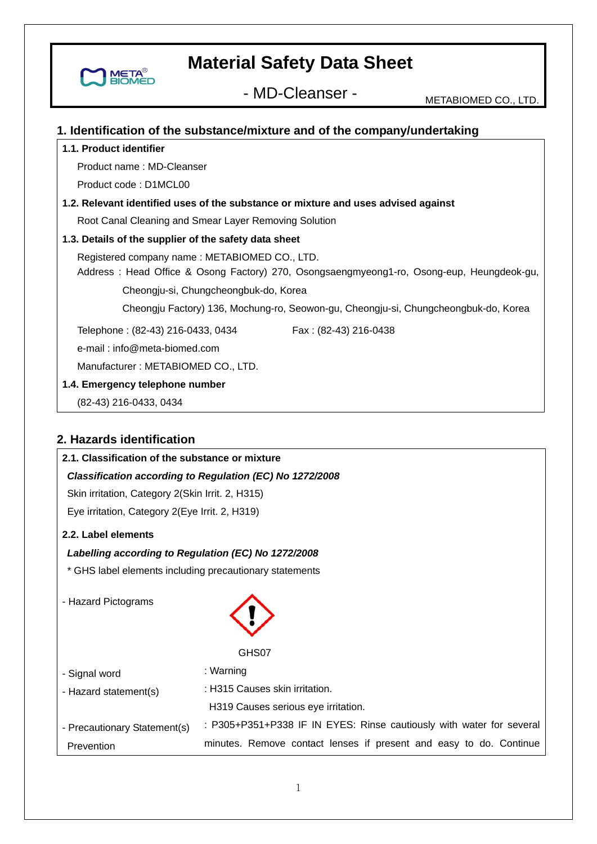- MD-Cleanser - METABIOMED CO., LTD.

## **1. Identification of the substance/mixture and of the company/undertaking**

#### **1.1. Product identifier**

**META** 

Product name : MD-Cleanser

Product code : D1MCL00

## **1.2. Relevant identified uses of the substance or mixture and uses advised against**

Root Canal Cleaning and Smear Layer Removing Solution

#### **1.3. Details of the supplier of the safety data sheet**

 Registered company name : METABIOMED CO., LTD. Address : Head Office & Osong Factory) 270, Osongsaengmyeong1-ro, Osong-eup, Heungdeok-gu,

Cheongju-si, Chungcheongbuk-do, Korea

Cheongju Factory) 136, Mochung-ro, Seowon-gu, Cheongju-si, Chungcheongbuk-do, Korea

Telephone: (82-43) 216-0433, 0434 Fax: (82-43) 216-0438

e-mail : info@meta-biomed.com

Manufacturer : METABIOMED CO., LTD.

**1.4. Emergency telephone number** 

(82-43) 216-0433, 0434

# **2. Hazards identification**

# **2.1. Classification of the substance or mixture**

#### *Classification according to Regulation (EC) No 1272/2008*

Skin irritation, Category 2(Skin Irrit. 2, H315)

Eye irritation, Category 2(Eye Irrit. 2, H319)

#### **2.2. Label elements**

#### *Labelling according to Regulation (EC) No 1272/2008*

\* GHS label elements including precautionary statements

- Hazard Pictograms



GHS07

- Signal word - Hazard statement(s) : Warning : H315 Causes skin irritation.
	- H319 Causes serious eye irritation.
- Precautionary Statement(s) Prevention : P305+P351+P338 IF IN EYES: Rinse cautiously with water for several minutes. Remove contact lenses if present and easy to do. Continue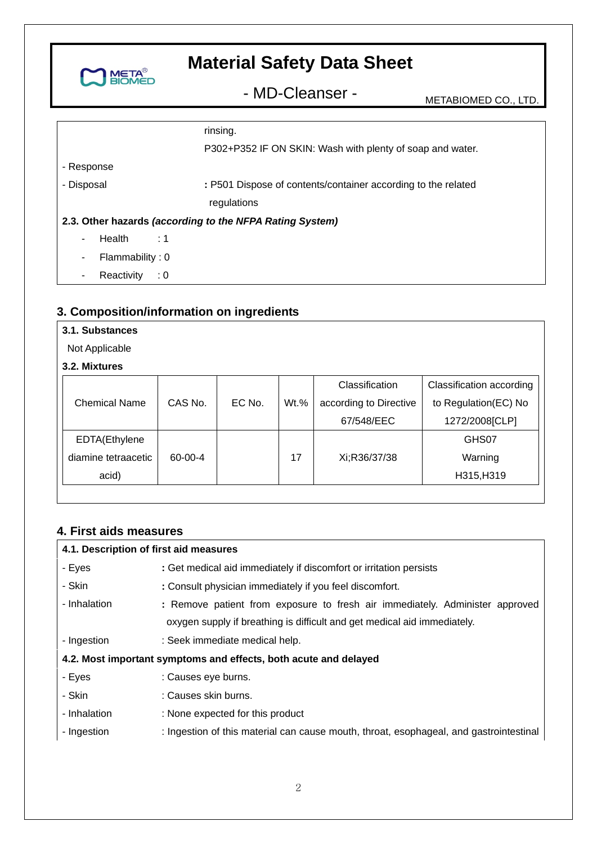

- MD-Cleanser - METABIOMED CO., LTD.

|                 | rinsing.                                                      |
|-----------------|---------------------------------------------------------------|
|                 | P302+P352 IF ON SKIN: Wash with plenty of soap and water.     |
| - Response      |                                                               |
| - Disposal      | : P501 Dispose of contents/container according to the related |
|                 | regulations                                                   |
|                 | 2.3. Other hazards (according to the NFPA Rating System)      |
| Health<br>۰.    | $\sim$ :1                                                     |
| Flammability: 0 |                                                               |
| Reactivity      | $\therefore$ 0                                                |

# **3. Composition/information on ingredients**

#### **3.1. Substances**

Not Applicable

#### **3.2. Mixtures**

|                      |         |        |         | Classification         | Classification according |
|----------------------|---------|--------|---------|------------------------|--------------------------|
| <b>Chemical Name</b> | CAS No. | EC No. | $Wt.$ % | according to Directive | to Regulation(EC) No     |
|                      |         |        |         | 67/548/EEC             | 1272/2008[CLP]           |
| EDTA(Ethylene        |         |        |         |                        | GHS07                    |
| diamine tetraacetic  | 60-00-4 |        | 17      | Xi;R36/37/38           | Warning                  |
| acid)                |         |        |         |                        | H315, H319               |

#### **4. First aids measures**

#### **4.1. Description of first aid measures**  - Eyes - Skin - Inhalation - Ingestion **:** Get medical aid immediately if discomfort or irritation persists **:** Consult physician immediately if you feel discomfort. **:** Remove patient from exposure to fresh air immediately. Administer approved oxygen supply if breathing is difficult and get medical aid immediately. : Seek immediate medical help. **4.2. Most important symptoms and effects, both acute and delayed**  - Eyes - Skin - Inhalation - Ingestion : Causes eye burns. : Causes skin burns. : None expected for this product : Ingestion of this material can cause mouth, throat, esophageal, and gastrointestinal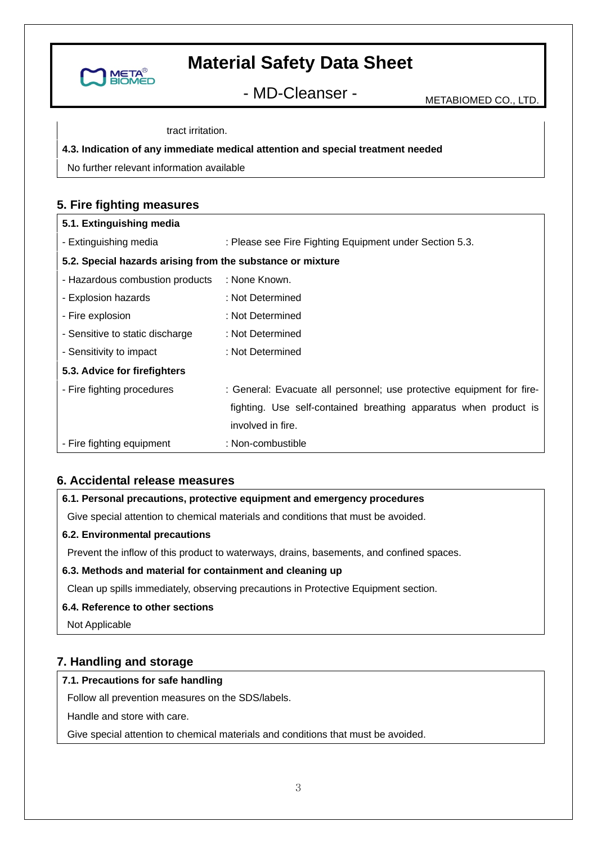

- MD-Cleanser - METABIOMED CO., LTD.

tract irritation.

#### **4.3. Indication of any immediate medical attention and special treatment needed**

No further relevant information available

# **5. Fire fighting measures**

| 5.1. Extinguishing media                                   |                                                                       |  |
|------------------------------------------------------------|-----------------------------------------------------------------------|--|
| - Extinguishing media                                      | : Please see Fire Fighting Equipment under Section 5.3.               |  |
| 5.2. Special hazards arising from the substance or mixture |                                                                       |  |
| - Hazardous combustion products : None Known.              |                                                                       |  |
| - Explosion hazards                                        | : Not Determined                                                      |  |
| - Fire explosion                                           | : Not Determined                                                      |  |
| - Sensitive to static discharge                            | : Not Determined                                                      |  |
| - Sensitivity to impact                                    | : Not Determined                                                      |  |
| 5.3. Advice for firefighters                               |                                                                       |  |
| - Fire fighting procedures                                 | : General: Evacuate all personnel; use protective equipment for fire- |  |
|                                                            | fighting. Use self-contained breathing apparatus when product is      |  |
|                                                            | involved in fire.                                                     |  |
| - Fire fighting equipment                                  | : Non-combustible                                                     |  |

### **6. Accidental release measures**

#### **6.1. Personal precautions, protective equipment and emergency procedures**

Give special attention to chemical materials and conditions that must be avoided.

#### **6.2. Environmental precautions**

Prevent the inflow of this product to waterways, drains, basements, and confined spaces.

#### **6.3. Methods and material for containment and cleaning up**

Clean up spills immediately, observing precautions in Protective Equipment section.

#### **6.4. Reference to other sections**

Not Applicable

# **7. Handling and storage**

#### **7.1. Precautions for safe handling**

Follow all prevention measures on the SDS/labels.

Handle and store with care.

Give special attention to chemical materials and conditions that must be avoided.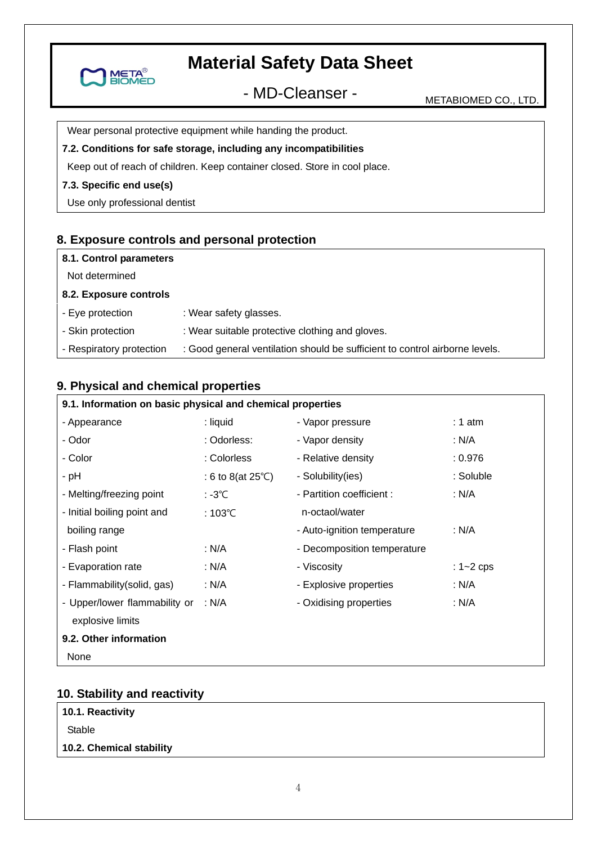

- MD-Cleanser - METABIOMED CO., LTD.

Wear personal protective equipment while handing the product.

#### **7.2. Conditions for safe storage, including any incompatibilities**

Keep out of reach of children. Keep container closed. Store in cool place.

#### **7.3. Specific end use(s)**

Use only professional dentist

### **8. Exposure controls and personal protection**

| 8.1. Control parameters |
|-------------------------|
| Not determined          |

#### **8.2. Exposure controls**

- Eye protection : Wear safety glasses.
- Skin protection : Wear suitable protective clothing and gloves.

- Respiratory protection : Good general ventilation should be sufficient to control airborne levels.

# **9. Physical and chemical properties**

| 9.1. Information on basic physical and chemical properties |                             |                             |               |
|------------------------------------------------------------|-----------------------------|-----------------------------|---------------|
| - Appearance                                               | : liquid                    | - Vapor pressure            | $: 1$ atm     |
| - Odor                                                     | : Odorless:                 | - Vapor density             | : N/A         |
| - Color                                                    | : Colorless                 | - Relative density          | : 0.976       |
| - pH                                                       | : 6 to 8(at $25^{\circ}$ C) | - Solubility(ies)           | : Soluble     |
| - Melting/freezing point                                   | : -3℃                       | - Partition coefficient :   | : N/A         |
| - Initial boiling point and                                | $:103^{\circ}$ C            | n-octaol/water              |               |
| boiling range                                              |                             | - Auto-ignition temperature | : N/A         |
| - Flash point                                              | : N/A                       | - Decomposition temperature |               |
| - Evaporation rate                                         | : N/A                       | - Viscosity                 | : $1 - 2$ cps |
| - Flammability (solid, gas)                                | : N/A                       | - Explosive properties      | : N/A         |
| - Upper/lower flammability or                              | : N/A                       | - Oxidising properties      | : N/A         |
| explosive limits                                           |                             |                             |               |
| 9.2. Other information                                     |                             |                             |               |
| None                                                       |                             |                             |               |

#### **10. Stability and reactivity**

| 10.1. Reactivity |
|------------------|
|                  |

Stable

#### **10.2. Chemical stability**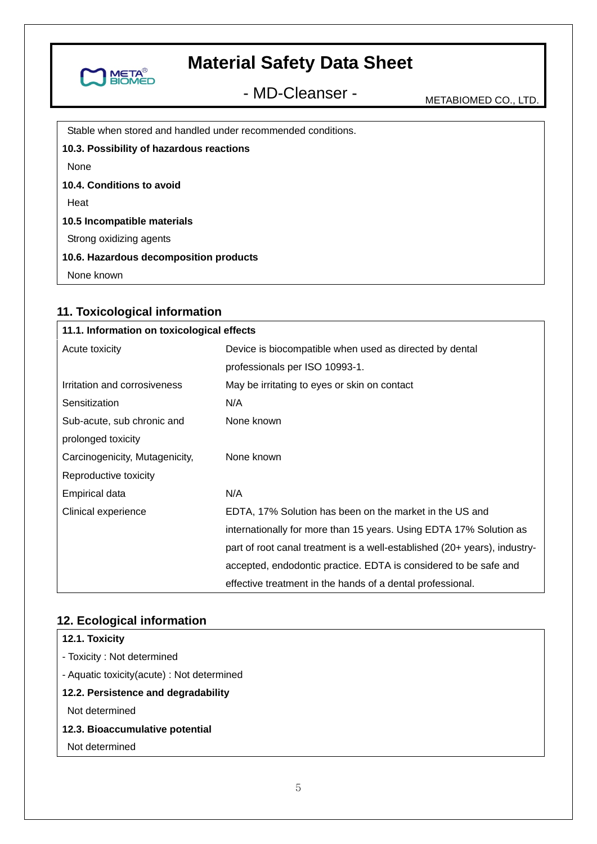

- MD-Cleanser - METABIOMED CO., LTD.

Stable when stored and handled under recommended conditions.

**10.3. Possibility of hazardous reactions** 

None

**10.4. Conditions to avoid** 

**Heat** 

**10.5 Incompatible materials** 

Strong oxidizing agents

**10.6. Hazardous decomposition products** 

None known

# **11. Toxicological information**

| 11.1. Information on toxicological effects |                                                                           |
|--------------------------------------------|---------------------------------------------------------------------------|
| Acute toxicity                             | Device is biocompatible when used as directed by dental                   |
|                                            | professionals per ISO 10993-1.                                            |
| Irritation and corrosiveness               | May be irritating to eyes or skin on contact                              |
| Sensitization                              | N/A                                                                       |
| Sub-acute, sub chronic and                 | None known                                                                |
| prolonged toxicity                         |                                                                           |
| Carcinogenicity, Mutagenicity,             | None known                                                                |
| Reproductive toxicity                      |                                                                           |
| Empirical data                             | N/A                                                                       |
| Clinical experience                        | EDTA, 17% Solution has been on the market in the US and                   |
|                                            | internationally for more than 15 years. Using EDTA 17% Solution as        |
|                                            | part of root canal treatment is a well-established (20+ years), industry- |
|                                            | accepted, endodontic practice. EDTA is considered to be safe and          |
|                                            | effective treatment in the hands of a dental professional.                |

# **12. Ecological information**

## **12.1. Toxicity**

- Toxicity : Not determined

- Aquatic toxicity(acute) : Not determined

#### **12.2. Persistence and degradability**

Not determined

### **12.3. Bioaccumulative potential**

Not determined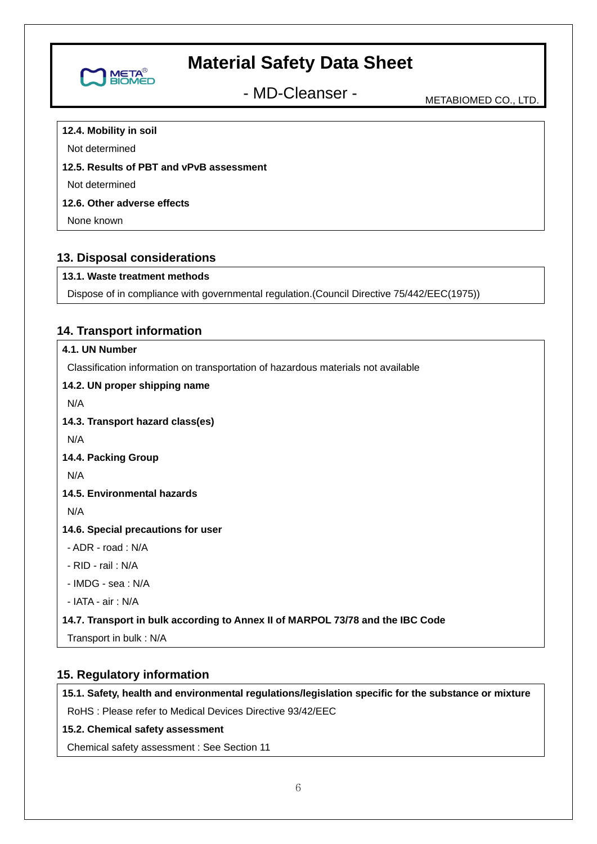

- MD-Cleanser - METABIOMED CO., LTD.

#### **12.4. Mobility in soil**

Not determined

### **12.5. Results of PBT and vPvB assessment**

Not determined

### **12.6. Other adverse effects**

None known

# **13. Disposal considerations**

### **13.1. Waste treatment methods**

Dispose of in compliance with governmental regulation.(Council Directive 75/442/EEC(1975))

# **14. Transport information**

# **4.1. UN Number**

Classification information on transportation of hazardous materials not available

# **14.2. UN proper shipping name**

N/A

**14.3. Transport hazard class(es)** 

N/A

**14.4. Packing Group** 

N/A

**14.5. Environmental hazards** 

N/A

**14.6. Special precautions for user** 

- ADR - road : N/A

- RID - rail : N/A

- IMDG - sea : N/A

- IATA - air : N/A

#### **14.7. Transport in bulk according to Annex II of MARPOL 73/78 and the IBC Code**

Transport in bulk : N/A

# **15. Regulatory information**

**15.1. Safety, health and environmental regulations/legislation specific for the substance or mixture** 

RoHS : Please refer to Medical Devices Directive 93/42/EEC

# **15.2. Chemical safety assessment**

Chemical safety assessment : See Section 11